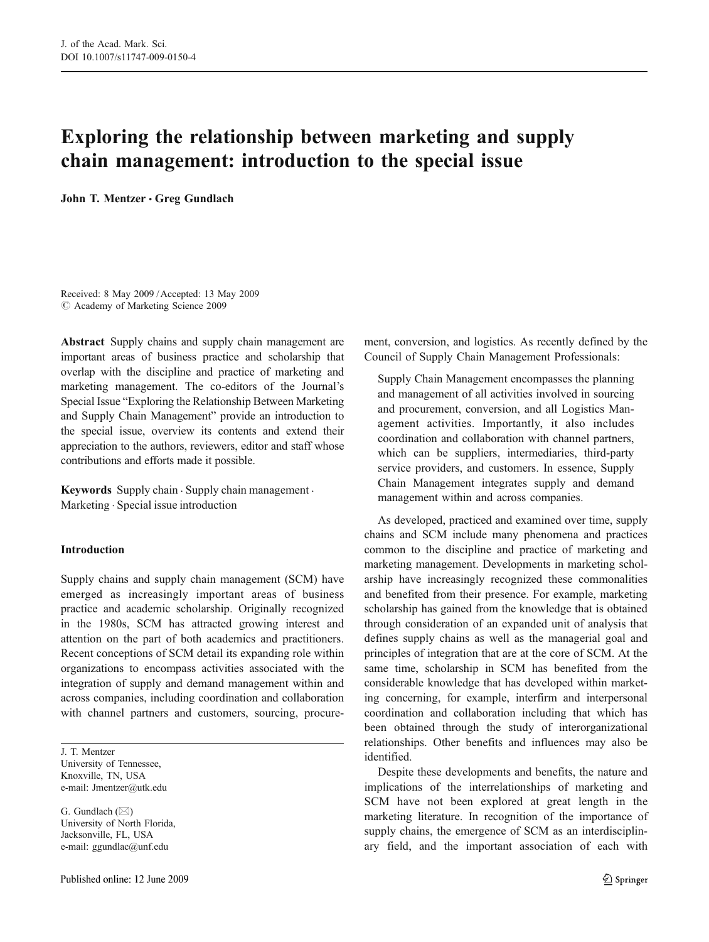# Exploring the relationship between marketing and supply chain management: introduction to the special issue

John T. Mentzer · Greg Gundlach

Received: 8 May 2009 /Accepted: 13 May 2009  $\odot$  Academy of Marketing Science 2009

Abstract Supply chains and supply chain management are important areas of business practice and scholarship that overlap with the discipline and practice of marketing and marketing management. The co-editors of the Journal's Special Issue "Exploring the Relationship Between Marketing and Supply Chain Management" provide an introduction to the special issue, overview its contents and extend their appreciation to the authors, reviewers, editor and staff whose contributions and efforts made it possible.

Keywords Supply chain . Supply chain management . Marketing . Special issue introduction

#### Introduction

Supply chains and supply chain management (SCM) have emerged as increasingly important areas of business practice and academic scholarship. Originally recognized in the 1980s, SCM has attracted growing interest and attention on the part of both academics and practitioners. Recent conceptions of SCM detail its expanding role within organizations to encompass activities associated with the integration of supply and demand management within and across companies, including coordination and collaboration with channel partners and customers, sourcing, procure-

J. T. Mentzer University of Tennessee, Knoxville, TN, USA e-mail: Jmentzer@utk.edu

G. Gundlach  $(\boxtimes)$ University of North Florida, Jacksonville, FL, USA e-mail: ggundlac@unf.edu

ment, conversion, and logistics. As recently defined by the Council of Supply Chain Management Professionals:

Supply Chain Management encompasses the planning and management of all activities involved in sourcing and procurement, conversion, and all Logistics Management activities. Importantly, it also includes coordination and collaboration with channel partners, which can be suppliers, intermediaries, third-party service providers, and customers. In essence, Supply Chain Management integrates supply and demand management within and across companies.

As developed, practiced and examined over time, supply chains and SCM include many phenomena and practices common to the discipline and practice of marketing and marketing management. Developments in marketing scholarship have increasingly recognized these commonalities and benefited from their presence. For example, marketing scholarship has gained from the knowledge that is obtained through consideration of an expanded unit of analysis that defines supply chains as well as the managerial goal and principles of integration that are at the core of SCM. At the same time, scholarship in SCM has benefited from the considerable knowledge that has developed within marketing concerning, for example, interfirm and interpersonal coordination and collaboration including that which has been obtained through the study of interorganizational relationships. Other benefits and influences may also be identified.

Despite these developments and benefits, the nature and implications of the interrelationships of marketing and SCM have not been explored at great length in the marketing literature. In recognition of the importance of supply chains, the emergence of SCM as an interdisciplinary field, and the important association of each with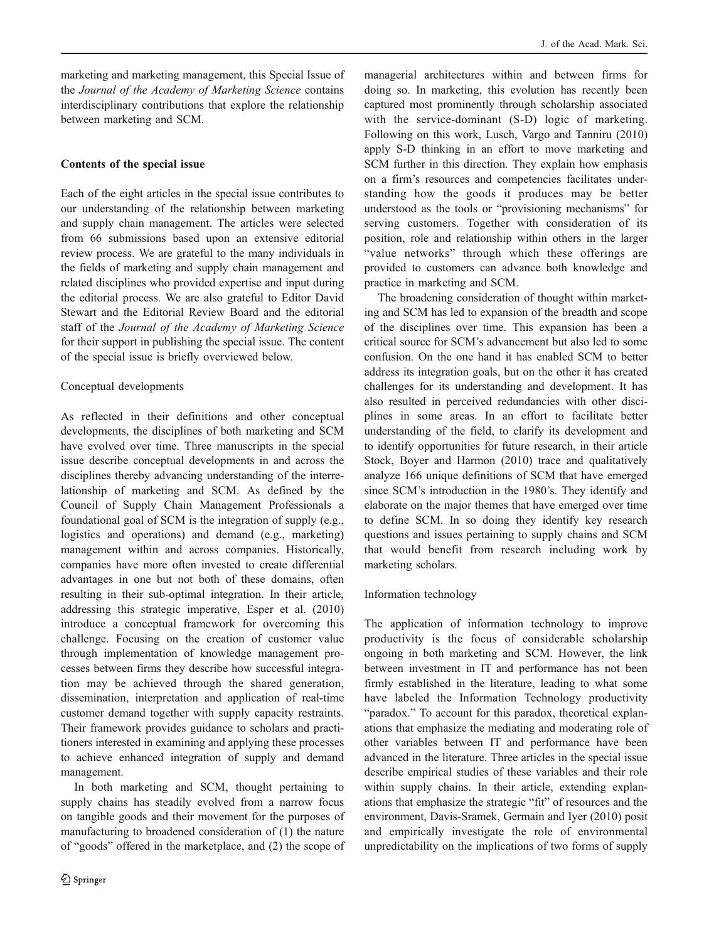marketing and marketing management, this Special Issue of the Journal of the Academy of Marketing Science contains interdisciplinary contributions that explore the relationship between marketing and SCM.

# Contents of the special issue

Each of the eight articles in the special issue contributes to our understanding of the relationship between marketing and supply chain management. The articles were selected from 66 submissions based upon an extensive editorial review process. We are grateful to the many individuals in the fields of marketing and supply chain management and related disciplines who provided expertise and input during the editorial process. We are also grateful to Editor David Stewart and the Editorial Review Board and the editorial staff of the Journal of the Academy of Marketing Science for their support in publishing the special issue. The content of the special issue is briefly overviewed below.

## Conceptual developments

As reflected in their definitions and other conceptual developments, the disciplines of both marketing and SCM have evolved over time. Three manuscripts in the special issue describe conceptual developments in and across the disciplines thereby advancing understanding of the interrelationship of marketing and SCM. As defined by the Council of Supply Chain Management Professionals a foundational goal of SCM is the integration of supply (e.g., logistics and operations) and demand (e.g., marketing) management within and across companies. Historically, companies have more often invested to create differential advantages in one but not both of these domains, often resulting in their sub-optimal integration. In their article, addressing this strategic imperative, Esper et al. (2010) introduce a conceptual framework for overcoming this challenge. Focusing on the creation of customer value through implementation of knowledge management processes between firms they describe how successful integration may be achieved through the shared generation, dissemination, interpretation and application of real-time customer demand together with supply capacity restraints. Their framework provides guidance to scholars and practitioners interested in examining and applying these processes to achieve enhanced integration of supply and demand management.

In both marketing and SCM, thought pertaining to supply chains has steadily evolved from a narrow focus on tangible goods and their movement for the purposes of manufacturing to broadened consideration of (1) the nature of "goods" offered in the marketplace, and (2) the scope of

managerial architectures within and between firms for doing so. In marketing, this evolution has recently been captured most prominently through scholarship associated with the service-dominant (S-D) logic of marketing. Following on this work, Lusch, Vargo and Tanniru (2010) apply S-D thinking in an effort to move marketing and SCM further in this direction. They explain how emphasis on a firm's resources and competencies facilitates understanding how the goods it produces may be better understood as the tools or "provisioning mechanisms" for serving customers. Together with consideration of its position, role and relationship within others in the larger "value networks" through which these offerings are provided to customers can advance both knowledge and practice in marketing and SCM.

The broadening consideration of thought within marketing and SCM has led to expansion of the breadth and scope of the disciplines over time. This expansion has been a critical source for SCM's advancement but also led to some confusion. On the one hand it has enabled SCM to better address its integration goals, but on the other it has created challenges for its understanding and development. It has also resulted in perceived redundancies with other disciplines in some areas. In an effort to facilitate better understanding of the field, to clarify its development and to identify opportunities for future research, in their article Stock, Boyer and Harmon (2010) trace and qualitatively analyze 166 unique definitions of SCM that have emerged since SCM's introduction in the 1980's. They identify and elaborate on the major themes that have emerged over time to define SCM. In so doing they identify key research questions and issues pertaining to supply chains and SCM that would benefit from research including work by marketing scholars.

## Information technology

The application of information technology to improve productivity is the focus of considerable scholarship ongoing in both marketing and SCM. However, the link between investment in IT and performance has not been firmly established in the literature, leading to what some have labeled the Information Technology productivity "paradox." To account for this paradox, theoretical explanations that emphasize the mediating and moderating role of other variables between IT and performance have been advanced in the literature. Three articles in the special issue describe empirical studies of these variables and their role within supply chains. In their article, extending explanations that emphasize the strategic "fit" of resources and the environment, Davis-Sramek, Germain and Iyer (2010) posit and empirically investigate the role of environmental unpredictability on the implications of two forms of supply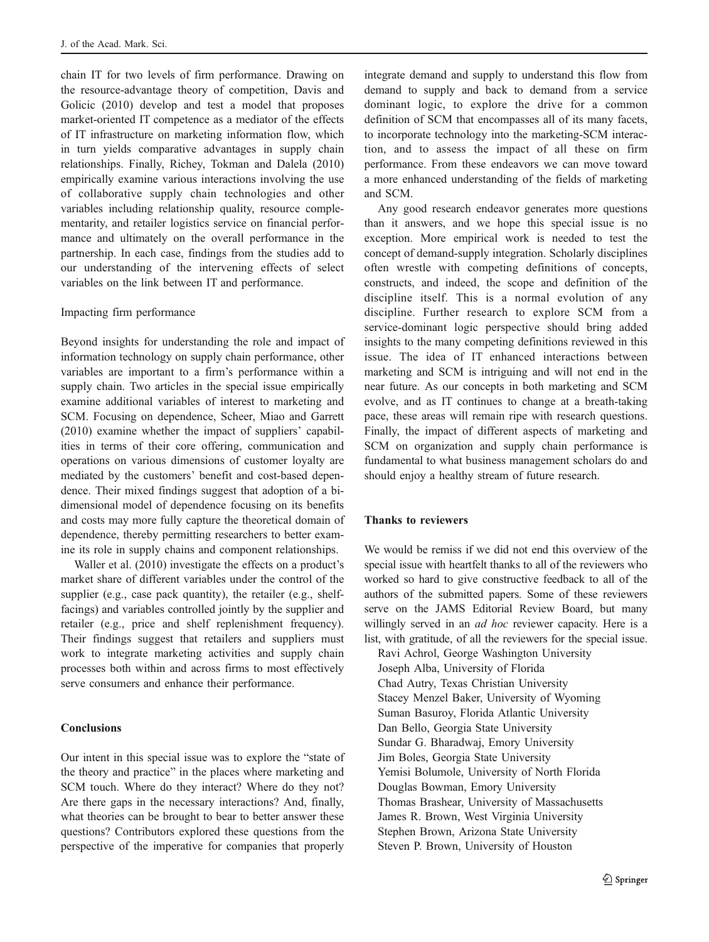chain IT for two levels of firm performance. Drawing on the resource-advantage theory of competition, Davis and Golicic (2010) develop and test a model that proposes market-oriented IT competence as a mediator of the effects of IT infrastructure on marketing information flow, which in turn yields comparative advantages in supply chain relationships. Finally, Richey, Tokman and Dalela (2010) empirically examine various interactions involving the use of collaborative supply chain technologies and other variables including relationship quality, resource complementarity, and retailer logistics service on financial performance and ultimately on the overall performance in the partnership. In each case, findings from the studies add to our understanding of the intervening effects of select variables on the link between IT and performance.

### Impacting firm performance

Beyond insights for understanding the role and impact of information technology on supply chain performance, other variables are important to a firm's performance within a supply chain. Two articles in the special issue empirically examine additional variables of interest to marketing and SCM. Focusing on dependence, Scheer, Miao and Garrett (2010) examine whether the impact of suppliers' capabilities in terms of their core offering, communication and operations on various dimensions of customer loyalty are mediated by the customers' benefit and cost-based dependence. Their mixed findings suggest that adoption of a bidimensional model of dependence focusing on its benefits and costs may more fully capture the theoretical domain of dependence, thereby permitting researchers to better examine its role in supply chains and component relationships.

Waller et al. (2010) investigate the effects on a product's market share of different variables under the control of the supplier (e.g., case pack quantity), the retailer (e.g., shelffacings) and variables controlled jointly by the supplier and retailer (e.g., price and shelf replenishment frequency). Their findings suggest that retailers and suppliers must work to integrate marketing activities and supply chain processes both within and across firms to most effectively serve consumers and enhance their performance.

#### Conclusions

Our intent in this special issue was to explore the "state of the theory and practice" in the places where marketing and SCM touch. Where do they interact? Where do they not? Are there gaps in the necessary interactions? And, finally, what theories can be brought to bear to better answer these questions? Contributors explored these questions from the perspective of the imperative for companies that properly

integrate demand and supply to understand this flow from demand to supply and back to demand from a service dominant logic, to explore the drive for a common definition of SCM that encompasses all of its many facets, to incorporate technology into the marketing-SCM interaction, and to assess the impact of all these on firm performance. From these endeavors we can move toward a more enhanced understanding of the fields of marketing and SCM.

Any good research endeavor generates more questions than it answers, and we hope this special issue is no exception. More empirical work is needed to test the concept of demand-supply integration. Scholarly disciplines often wrestle with competing definitions of concepts, constructs, and indeed, the scope and definition of the discipline itself. This is a normal evolution of any discipline. Further research to explore SCM from a service-dominant logic perspective should bring added insights to the many competing definitions reviewed in this issue. The idea of IT enhanced interactions between marketing and SCM is intriguing and will not end in the near future. As our concepts in both marketing and SCM evolve, and as IT continues to change at a breath-taking pace, these areas will remain ripe with research questions. Finally, the impact of different aspects of marketing and SCM on organization and supply chain performance is fundamental to what business management scholars do and should enjoy a healthy stream of future research.

#### Thanks to reviewers

We would be remiss if we did not end this overview of the special issue with heartfelt thanks to all of the reviewers who worked so hard to give constructive feedback to all of the authors of the submitted papers. Some of these reviewers serve on the JAMS Editorial Review Board, but many willingly served in an *ad hoc* reviewer capacity. Here is a list, with gratitude, of all the reviewers for the special issue.

Ravi Achrol, George Washington University Joseph Alba, University of Florida Chad Autry, Texas Christian University Stacey Menzel Baker, University of Wyoming Suman Basuroy, Florida Atlantic University Dan Bello, Georgia State University Sundar G. Bharadwaj, Emory University Jim Boles, Georgia State University Yemisi Bolumole, University of North Florida Douglas Bowman, Emory University Thomas Brashear, University of Massachusetts James R. Brown, West Virginia University Stephen Brown, Arizona State University Steven P. Brown, University of Houston